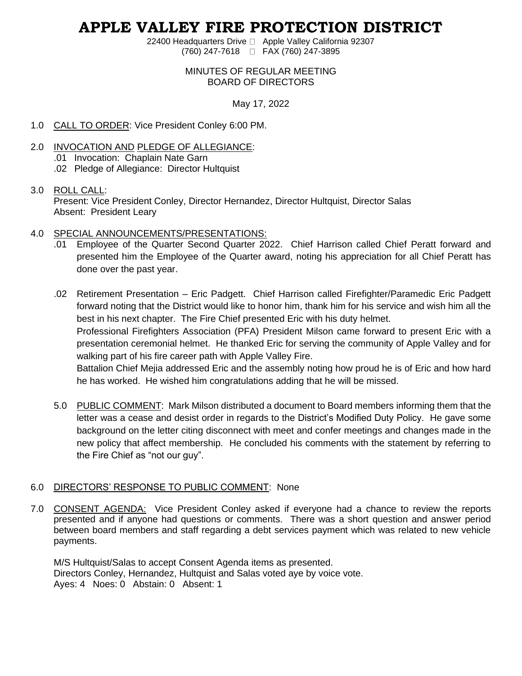# **APPLE VALLEY FIRE PROTECTION DISTRICT**

22400 Headquarters Drive □ Apple Valley California 92307 (760) 247-7618 FAX (760) 247-3895

## MINUTES OF REGULAR MEETING BOARD OF DIRECTORS

# May 17, 2022

- 1.0 CALL TO ORDER: Vice President Conley 6:00 PM.
- 2.0 INVOCATION AND PLEDGE OF ALLEGIANCE: .01 Invocation: Chaplain Nate Garn .02 Pledge of Allegiance: Director Hultquist

## 3.0 ROLL CALL:

Present: Vice President Conley, Director Hernandez, Director Hultquist, Director Salas Absent: President Leary

# 4.0 SPECIAL ANNOUNCEMENTS/PRESENTATIONS:

- .01 Employee of the Quarter Second Quarter 2022. Chief Harrison called Chief Peratt forward and presented him the Employee of the Quarter award, noting his appreciation for all Chief Peratt has done over the past year.
- .02 Retirement Presentation Eric Padgett. Chief Harrison called Firefighter/Paramedic Eric Padgett forward noting that the District would like to honor him, thank him for his service and wish him all the best in his next chapter. The Fire Chief presented Eric with his duty helmet. Professional Firefighters Association (PFA) President Milson came forward to present Eric with a

presentation ceremonial helmet. He thanked Eric for serving the community of Apple Valley and for walking part of his fire career path with Apple Valley Fire.

Battalion Chief Mejia addressed Eric and the assembly noting how proud he is of Eric and how hard he has worked. He wished him congratulations adding that he will be missed.

5.0 PUBLIC COMMENT: Mark Milson distributed a document to Board members informing them that the letter was a cease and desist order in regards to the District's Modified Duty Policy. He gave some background on the letter citing disconnect with meet and confer meetings and changes made in the new policy that affect membership. He concluded his comments with the statement by referring to the Fire Chief as "not our guy".

# 6.0 DIRECTORS' RESPONSE TO PUBLIC COMMENT: None

7.0 CONSENT AGENDA: Vice President Conley asked if everyone had a chance to review the reports presented and if anyone had questions or comments. There was a short question and answer period between board members and staff regarding a debt services payment which was related to new vehicle payments.

M/S Hultquist/Salas to accept Consent Agenda items as presented. Directors Conley, Hernandez, Hultquist and Salas voted aye by voice vote. Ayes: 4 Noes: 0 Abstain: 0 Absent: 1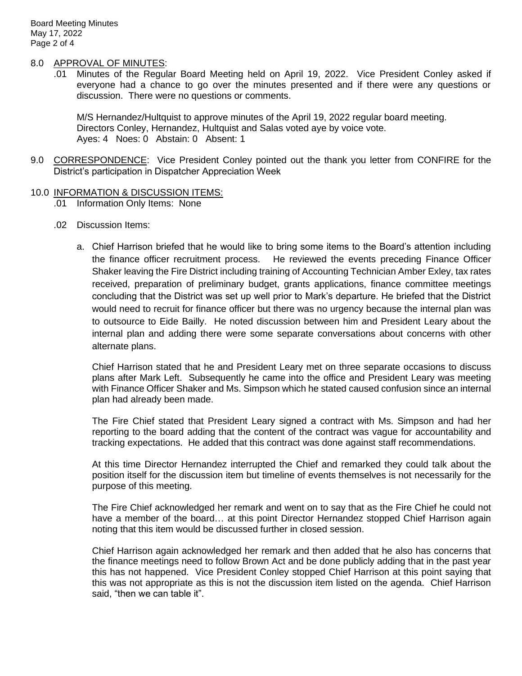## 8.0 APPROVAL OF MINUTES:

.01 Minutes of the Regular Board Meeting held on April 19, 2022. Vice President Conley asked if everyone had a chance to go over the minutes presented and if there were any questions or discussion. There were no questions or comments.

M/S Hernandez/Hultquist to approve minutes of the April 19, 2022 regular board meeting. Directors Conley, Hernandez, Hultquist and Salas voted aye by voice vote. Ayes: 4 Noes: 0 Abstain: 0 Absent: 1

9.0 CORRESPONDENCE: Vice President Conley pointed out the thank you letter from CONFIRE for the District's participation in Dispatcher Appreciation Week

## 10.0 INFORMATION & DISCUSSION ITEMS:

.01 Information Only Items: None

- .02 Discussion Items:
	- a. Chief Harrison briefed that he would like to bring some items to the Board's attention including the finance officer recruitment process. He reviewed the events preceding Finance Officer Shaker leaving the Fire District including training of Accounting Technician Amber Exley, tax rates received, preparation of preliminary budget, grants applications, finance committee meetings concluding that the District was set up well prior to Mark's departure. He briefed that the District would need to recruit for finance officer but there was no urgency because the internal plan was to outsource to Eide Bailly. He noted discussion between him and President Leary about the internal plan and adding there were some separate conversations about concerns with other alternate plans.

Chief Harrison stated that he and President Leary met on three separate occasions to discuss plans after Mark Left. Subsequently he came into the office and President Leary was meeting with Finance Officer Shaker and Ms. Simpson which he stated caused confusion since an internal plan had already been made.

The Fire Chief stated that President Leary signed a contract with Ms. Simpson and had her reporting to the board adding that the content of the contract was vague for accountability and tracking expectations. He added that this contract was done against staff recommendations.

At this time Director Hernandez interrupted the Chief and remarked they could talk about the position itself for the discussion item but timeline of events themselves is not necessarily for the purpose of this meeting.

The Fire Chief acknowledged her remark and went on to say that as the Fire Chief he could not have a member of the board... at this point Director Hernandez stopped Chief Harrison again noting that this item would be discussed further in closed session.

Chief Harrison again acknowledged her remark and then added that he also has concerns that the finance meetings need to follow Brown Act and be done publicly adding that in the past year this has not happened. Vice President Conley stopped Chief Harrison at this point saying that this was not appropriate as this is not the discussion item listed on the agenda. Chief Harrison said, "then we can table it".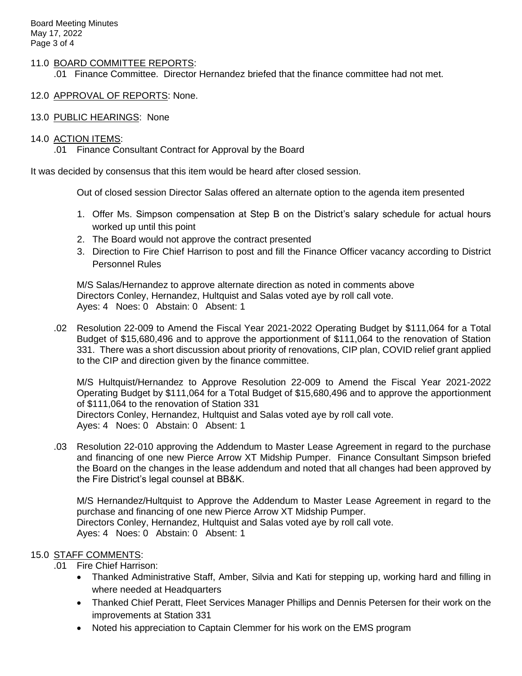## 11.0 BOARD COMMITTEE REPORTS:

.01 Finance Committee. Director Hernandez briefed that the finance committee had not met.

- 12.0 APPROVAL OF REPORTS: None.
- 13.0 PUBLIC HEARINGS: None

## 14.0 ACTION ITEMS:

.01 Finance Consultant Contract for Approval by the Board

It was decided by consensus that this item would be heard after closed session.

Out of closed session Director Salas offered an alternate option to the agenda item presented

- 1. Offer Ms. Simpson compensation at Step B on the District's salary schedule for actual hours worked up until this point
- 2. The Board would not approve the contract presented
- 3. Direction to Fire Chief Harrison to post and fill the Finance Officer vacancy according to District Personnel Rules

M/S Salas/Hernandez to approve alternate direction as noted in comments above Directors Conley, Hernandez, Hultquist and Salas voted aye by roll call vote. Ayes: 4 Noes: 0 Abstain: 0 Absent: 1

.02 Resolution 22-009 to Amend the Fiscal Year 2021-2022 Operating Budget by \$111,064 for a Total Budget of \$15,680,496 and to approve the apportionment of \$111,064 to the renovation of Station 331. There was a short discussion about priority of renovations, CIP plan, COVID relief grant applied to the CIP and direction given by the finance committee.

M/S Hultquist/Hernandez to Approve Resolution 22-009 to Amend the Fiscal Year 2021-2022 Operating Budget by \$111,064 for a Total Budget of \$15,680,496 and to approve the apportionment of \$111,064 to the renovation of Station 331 Directors Conley, Hernandez, Hultquist and Salas voted aye by roll call vote. Ayes: 4 Noes: 0 Abstain: 0 Absent: 1

.03 Resolution 22-010 approving the Addendum to Master Lease Agreement in regard to the purchase and financing of one new Pierce Arrow XT Midship Pumper. Finance Consultant Simpson briefed the Board on the changes in the lease addendum and noted that all changes had been approved by the Fire District's legal counsel at BB&K.

M/S Hernandez/Hultquist to Approve the Addendum to Master Lease Agreement in regard to the purchase and financing of one new Pierce Arrow XT Midship Pumper. Directors Conley, Hernandez, Hultquist and Salas voted aye by roll call vote. Ayes: 4 Noes: 0 Abstain: 0 Absent: 1

# 15.0 STAFF COMMENTS:

- .01 Fire Chief Harrison:
	- Thanked Administrative Staff, Amber, Silvia and Kati for stepping up, working hard and filling in where needed at Headquarters
	- Thanked Chief Peratt, Fleet Services Manager Phillips and Dennis Petersen for their work on the improvements at Station 331
	- Noted his appreciation to Captain Clemmer for his work on the EMS program